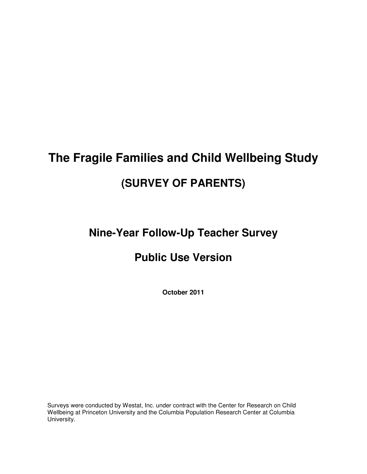# **The Fragile Families and Child Wellbeing Study (SURVEY OF PARENTS)**

### **Nine-Year Follow-Up Teacher Survey**

### **Public Use Version**

**October 2011** 

Surveys were conducted by Westat, Inc. under contract with the Center for Research on Child Wellbeing at Princeton University and the Columbia Population Research Center at Columbia University.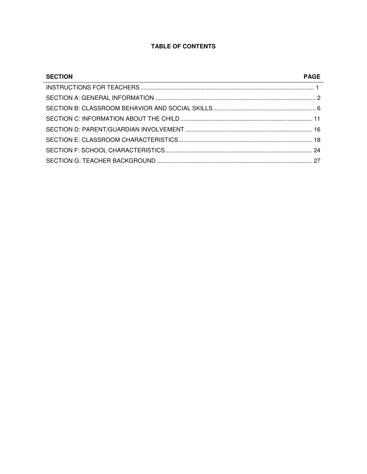### **TABLE OF CONTENTS**

| <b>SECTION</b> | <b>PAGE</b> |
|----------------|-------------|
|                |             |
|                |             |
|                |             |
|                |             |
|                |             |
|                |             |
|                |             |
|                |             |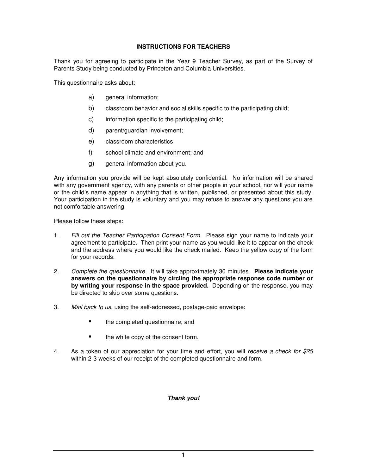### **INSTRUCTIONS FOR TEACHERS**

Thank you for agreeing to participate in the Year 9 Teacher Survey, as part of the Survey of Parents Study being conducted by Princeton and Columbia Universities.

This questionnaire asks about:

- a) general information;
- b) classroom behavior and social skills specific to the participating child;
- c) information specific to the participating child;
- d) parent/guardian involvement;
- e) classroom characteristics
- f) school climate and environment; and
- g) general information about you.

Any information you provide will be kept absolutely confidential. No information will be shared with any government agency, with any parents or other people in your school, nor will your name or the child's name appear in anything that is written, published, or presented about this study. Your participation in the study is voluntary and you may refuse to answer any questions you are not comfortable answering.

Please follow these steps:

- 1. Fill out the Teacher Participation Consent Form. Please sign your name to indicate your agreement to participate. Then print your name as you would like it to appear on the check and the address where you would like the check mailed. Keep the yellow copy of the form for your records.
- 2. Complete the questionnaire. It will take approximately 30 minutes. **Please indicate your answers on the questionnaire by circling the appropriate response code number or by writing your response in the space provided.** Depending on the response, you may be directed to skip over some questions.
- 3. Mail back to us, using the self-addressed, postage-paid envelope:
	- **the completed questionnaire, and**
	- the white copy of the consent form.
- 4. As a token of our appreciation for your time and effort, you will receive a check for \$25 within 2-3 weeks of our receipt of the completed questionnaire and form.

### **Thank you!**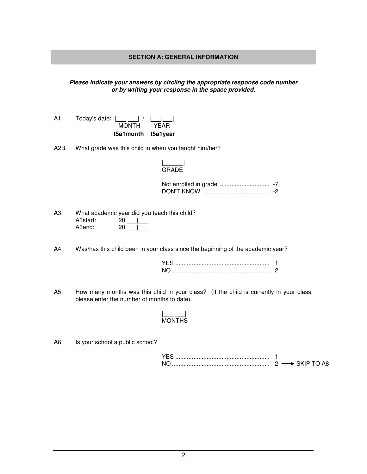### **SECTION A: GENERAL INFORMATION**

### **Please indicate your answers by circling the appropriate response code number or by writing your response in the space provided.**

|     |                                             | t5a1month t5a1year |  |
|-----|---------------------------------------------|--------------------|--|
| A1. | Today's date: $ \_\_\_\_\ $ / $ \_\_\_\_\ $ | MONTH YEAR         |  |
|     |                                             |                    |  |

A2B. What grade was this child in when you taught him/her?

### |\_\_\_\_\_\_| GRADE

|            | $-7$ |
|------------|------|
| DON'T KNOW |      |

| A3. |          | What academic year did you teach this child? |
|-----|----------|----------------------------------------------|
|     | A3start: | 2011 1                                       |
|     | A3end:   | 20                                           |

A4. Was/has this child been in your class since the beginning of the academic year?

A5. How many months was this child in your class? (If the child is currently in your class, please enter the number of months to date).

#### |\_\_\_|\_\_\_| MONTHS

A6. Is your school a public school?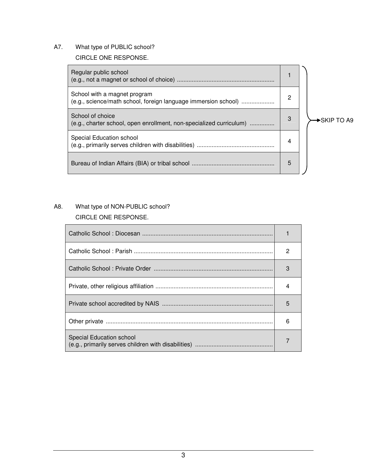A7. What type of PUBLIC school?

### CIRCLE ONE RESPONSE.

| Regular public school                                                                          |   |                          |
|------------------------------------------------------------------------------------------------|---|--------------------------|
| School with a magnet program<br>(e.g., science/math school, foreign language immersion school) | 2 |                          |
| School of choice<br>(e.g., charter school, open enrollment, non-specialized curriculum)        | 3 | $\rightarrow$ SKIP TO A9 |
| Special Education school                                                                       | 4 |                          |
|                                                                                                | 5 |                          |

### A8. What type of NON-PUBLIC school?

### CIRCLE ONE RESPONSE.

|                          | 2 |
|--------------------------|---|
|                          | 3 |
|                          |   |
|                          | 5 |
|                          | 6 |
| Special Education school |   |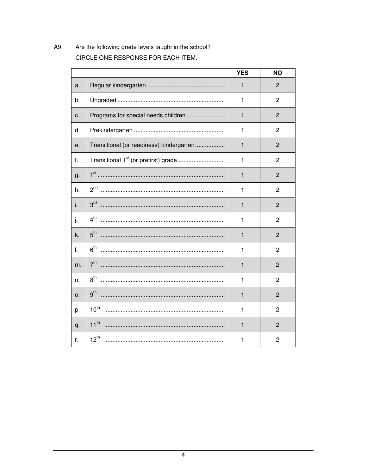A9. Are the following grade levels taught in the school? CIRCLE ONE RESPONSE FOR EACH ITEM.

|    |                                          | <b>YES</b>   | <b>NO</b>      |
|----|------------------------------------------|--------------|----------------|
| a. |                                          | 1            | $\overline{2}$ |
| b. |                                          | 1            | $\overline{2}$ |
| c. | Programs for special needs children      | $\mathbf{1}$ | $\overline{2}$ |
| d. |                                          | 1            | $\overline{c}$ |
| е. | Transitional (or readiness) kindergarten | $\mathbf{1}$ | $\overline{2}$ |
| f. |                                          | $\mathbf{1}$ | $\overline{2}$ |
| g. |                                          | $\mathbf{1}$ | $\overline{2}$ |
| h. |                                          | $\mathbf{1}$ | $\overline{2}$ |
| i. |                                          | 1            | $\overline{2}$ |
| j. |                                          | 1            | $\overline{c}$ |
| k. |                                          | 1            | $\overline{2}$ |
| L. |                                          | 1            | $\overline{2}$ |
| m. |                                          | 1            | $\overline{2}$ |
| n. |                                          | 1            | $\overline{2}$ |
| 0. | $9^{th}$                                 | 1            | $\overline{2}$ |
| p. |                                          | 1            | $\overline{2}$ |
| q. | $11^{th}$                                | 1            | 2              |
| r. | $12^{th}$                                | 1            | $\overline{c}$ |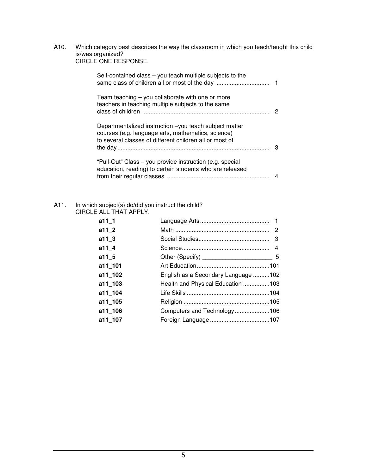A10. Which category best describes the way the classroom in which you teach/taught this child is/was organized? CIRCLE ONE RESPONSE.

| Self-contained class – you teach multiple subjects to the                                                                                                               |   |
|-------------------------------------------------------------------------------------------------------------------------------------------------------------------------|---|
| Team teaching $-$ you collaborate with one or more<br>teachers in teaching multiple subjects to the same                                                                | 2 |
| Departmentalized instruction -you teach subject matter<br>courses (e.g. language arts, mathematics, science)<br>to several classes of different children all or most of | з |
| "Pull-Out" Class - you provide instruction (e.g. special<br>education, reading) to certain students who are released                                                    |   |

### A11. In which subject(s) do/did you instruct the child? CIRCLE ALL THAT APPLY.

| a11 1   |                                     |
|---------|-------------------------------------|
| a11 2   |                                     |
| a11 $3$ |                                     |
| a11 4   |                                     |
| a11 5   |                                     |
| a11 101 |                                     |
| a11 102 | English as a Secondary Language 102 |
| a11 103 | Health and Physical Education 103   |
| a11 104 |                                     |
| a11 105 |                                     |
| a11 106 | Computers and Technology106         |
| a11 107 |                                     |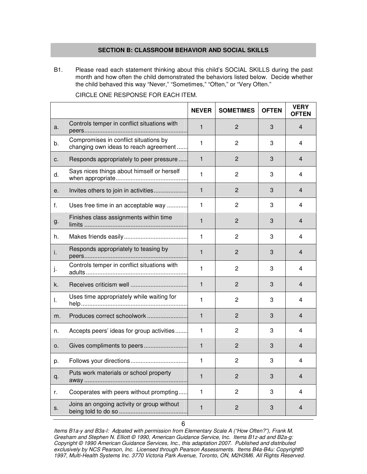### **SECTION B: CLASSROOM BEHAVIOR AND SOCIAL SKILLS**

B1. Please read each statement thinking about this child's SOCIAL SKILLS during the past month and how often the child demonstrated the behaviors listed below. Decide whether the child behaved this way "Never," "Sometimes," "Often," or "Very Often."

|    |                                                                                | <b>NEVER</b> | <b>SOMETIMES</b> | <b>OFTEN</b> | <b>VERY</b><br><b>OFTEN</b> |
|----|--------------------------------------------------------------------------------|--------------|------------------|--------------|-----------------------------|
| a. | Controls temper in conflict situations with                                    | $\mathbf{1}$ | $\overline{2}$   | 3            | 4                           |
| b. | Compromises in conflict situations by<br>changing own ideas to reach agreement | 1            | 2                | 3            | 4                           |
| c. | Responds appropriately to peer pressure                                        | 1            | $\overline{2}$   | 3            | 4                           |
| d. | Says nices things about himself or herself                                     | 1            | $\overline{2}$   | 3            | 4                           |
| е. | Invites others to join in activities                                           | $\mathbf{1}$ | $\overline{2}$   | 3            | 4                           |
| f. | Uses free time in an acceptable way                                            | 1            | 2                | 3            | 4                           |
| g. | Finishes class assignments within time                                         | $\mathbf{1}$ | $\overline{2}$   | 3            | 4                           |
| h. |                                                                                | 1            | $\overline{c}$   | 3            | 4                           |
| i. | Responds appropriately to teasing by                                           | $\mathbf{1}$ | $\overline{2}$   | 3            | 4                           |
| j. | Controls temper in conflict situations with                                    | 1            | $\overline{2}$   | 3            | 4                           |
| k. |                                                                                | $\mathbf{1}$ | $\overline{2}$   | 3            | 4                           |
| I. | Uses time appropriately while waiting for                                      | 1            | $\overline{c}$   | 3            | 4                           |
| m. | Produces correct schoolwork                                                    | 1            | $\overline{2}$   | 3            | 4                           |
| n. | Accepts peers' ideas for group activities                                      | 1            | $\overline{2}$   | 3            | 4                           |
| 0. | Gives compliments to peers                                                     | 1            | $\overline{2}$   | 3            | 4                           |
| p. |                                                                                | 1            | $\overline{c}$   | 3            | 4                           |
| q. | Puts work materials or school property                                         | 1            | $\overline{2}$   | 3            | 4                           |
| r. | Cooperates with peers without prompting                                        | $\mathbf{1}$ | $\overline{c}$   | 3            | 4                           |
| S. | Joins an ongoing activity or group without                                     | $\mathbf{1}$ | $\overline{c}$   | 3            | 4                           |

CIRCLE ONE RESPONSE FOR EACH ITEM.

Items B1a-y and B3a-l: Adpated with permission from Elementary Scale A ("How Often?"), Frank M. Gresham and Stephen N. Elliott © 1990, American Guidance Service, Inc. Items B1z-ad and B2a-g: Copyright © 1990 American Guidance Services, Inc., this adaptation 2007. Published and distributed exclusively by NCS Pearson, Inc. Licensed through Pearson Assessments. Items B4a-B4u: Copyright© 1997, Multi-Health Systems Inc. 3770 Victoria Park Avenue, Toronto, ON, M2H3M6. All Rights Reserved.

6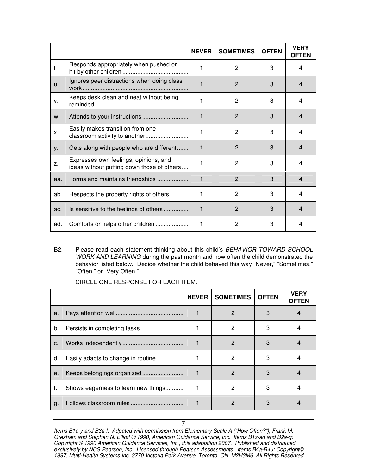|     |                                                                                     | <b>NEVER</b> | <b>SOMETIMES</b> | <b>OFTEN</b> | <b>VERY</b><br><b>OFTEN</b> |
|-----|-------------------------------------------------------------------------------------|--------------|------------------|--------------|-----------------------------|
| t.  | Responds appropriately when pushed or                                               |              | $\overline{2}$   | 3            | 4                           |
| u.  | Ignores peer distractions when doing class                                          |              | $\overline{2}$   | 3            | 4                           |
| v.  | Keeps desk clean and neat without being                                             |              | $\overline{2}$   | 3            | 4                           |
| W.  |                                                                                     | 1            | 2                | 3            | 4                           |
| X.  | Easily makes transition from one<br>classroom activity to another                   | 1            | $\overline{c}$   | 3            | 4                           |
| у.  | Gets along with people who are different                                            | 1            | $\overline{2}$   | 3            | 4                           |
| Z.  | Expresses own feelings, opinions, and<br>ideas without putting down those of others |              | $\overline{2}$   | 3            | 4                           |
| aa. | Forms and maintains friendships                                                     | 1            | $\overline{2}$   | 3            | $\overline{\mathcal{A}}$    |
| ab. | Respects the property rights of others                                              | 1            | $\overline{2}$   | 3            | 4                           |
| ac. | Is sensitive to the feelings of others                                              | 1            | $\overline{2}$   | 3            | $\overline{\mathcal{A}}$    |
| ad. | Comforts or helps other children                                                    | 1            | $\overline{2}$   | 3            | 4                           |

B2. Please read each statement thinking about this child's BEHAVIOR TOWARD SCHOOL WORK AND LEARNING during the past month and how often the child demonstrated the behavior listed below. Decide whether the child behaved this way "Never," "Sometimes," "Often," or "Very Often."

|    |                                     | <b>NEVER</b> | <b>SOMETIMES</b> | <b>OFTEN</b> | <b>VERY</b><br>OFTEN |
|----|-------------------------------------|--------------|------------------|--------------|----------------------|
| a. |                                     |              | 2                | 3            |                      |
| b. |                                     |              | 2                | 3            |                      |
| C. |                                     |              | $\mathcal{P}$    | 3            |                      |
| d. | Easily adapts to change in routine  |              | 2                | 3            |                      |
| е. |                                     |              | 2                | 3            |                      |
| f. | Shows eagerness to learn new things |              | 2                | З            |                      |
| g. |                                     |              | 2                | 3            |                      |

CIRCLE ONE RESPONSE FOR EACH ITEM.

Items B1a-y and B3a-l: Adpated with permission from Elementary Scale A ("How Often?"), Frank M. Gresham and Stephen N. Elliott © 1990, American Guidance Service, Inc. Items B1z-ad and B2a-g: Copyright © 1990 American Guidance Services, Inc., this adaptation 2007. Published and distributed exclusively by NCS Pearson, Inc. Licensed through Pearson Assessments. Items B4a-B4u: Copyright© 1997, Multi-Health Systems Inc. 3770 Victoria Park Avenue, Toronto, ON, M2H3M6. All Rights Reserved.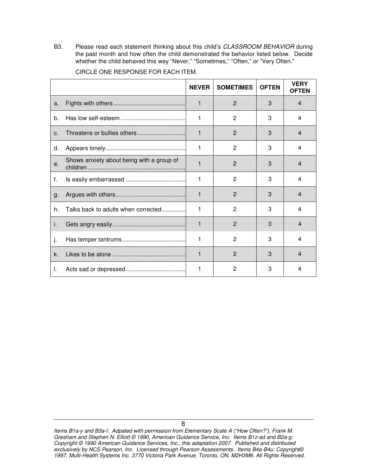B3. Please read each statement thinking about this child's CLASSROOM BEHAVIOR during the past month and how often the child demonstrated the behavior listed below. Decide whether the child behaved this way "Never," "Sometimes," "Often," or "Very Often."

|            |                                           | <b>NEVER</b> | <b>SOMETIMES</b> | <b>OFTEN</b> | <b>VERY</b><br><b>OFTEN</b> |
|------------|-------------------------------------------|--------------|------------------|--------------|-----------------------------|
| a.         |                                           | 1            | 2                | 3            | 4                           |
| b.         |                                           | 1            | 2                | 3            | 4                           |
| C.         |                                           | $\mathbf{1}$ | 2                | 3            | 4                           |
| d.         |                                           | 1            | 2                | 3            | 4                           |
| $\theta$ . | Shows anxiety about being with a group of | 1            | 2                | 3            | 4                           |
| f.         |                                           | 1            | 2                | 3            | 4                           |
| g.         |                                           | 1            | 2                | 3            | 4                           |
| h.         | Talks back to adults when corrected       | 1            | 2                | 3            | 4                           |
| j.         |                                           | 1            | $\overline{2}$   | 3            | $\overline{4}$              |
| j.         |                                           | 1            | $\overline{2}$   | 3            | 4                           |
| k.         |                                           | 1            | $\overline{2}$   | 3            | 4                           |
| I.         |                                           | 1            | $\overline{2}$   | 3            | 4                           |

CIRCLE ONE RESPONSE FOR EACH ITEM.

Items B1a-y and B3a-l: Adpated with permission from Elementary Scale A ("How Often?"), Frank M. Gresham and Stephen N. Elliott © 1990, American Guidance Service, Inc. Items B1z-ad and B2a-g: Copyright © 1990 American Guidance Services, Inc., this adaptation 2007. Published and distributed exclusively by NCS Pearson, Inc. Licensed through Pearson Assessments. Items B4a-B4u: Copyright© 1997, Multi-Health Systems Inc. 3770 Victoria Park Avenue, Toronto, ON, M2H3M6. All Rights Reserved.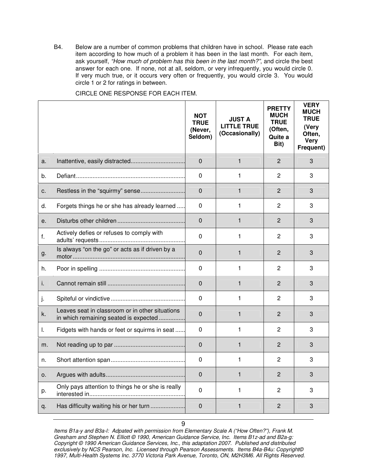B4. Below are a number of common problems that children have in school. Please rate each item according to how much of a problem it has been in the last month. For each item, ask yourself, "How much of problem has this been in the last month?", and circle the best answer for each one. If none, not at all, seldom, or very infrequently, you would circle 0. If very much true, or it occurs very often or frequently, you would circle 3. You would circle 1 or 2 for ratings in between.

|    |                                                                                          | <b>NOT</b><br><b>TRUE</b><br>(Never,<br>Seldom) | <b>JUST A</b><br><b>LITTLE TRUE</b><br>(Occasionally) | <b>PRETTY</b><br><b>MUCH</b><br><b>TRUE</b><br>(Often,<br>Quite a<br>Bit) | <b>VERY</b><br><b>MUCH</b><br><b>TRUE</b><br>(Very<br>Often,<br><b>Very</b><br>Frequent) |
|----|------------------------------------------------------------------------------------------|-------------------------------------------------|-------------------------------------------------------|---------------------------------------------------------------------------|------------------------------------------------------------------------------------------|
| a. |                                                                                          | $\mathbf 0$                                     | $\mathbf{1}$                                          | $\overline{2}$                                                            | 3                                                                                        |
| b. |                                                                                          | $\Omega$                                        | 1                                                     | $\mathbf{2}$                                                              | 3                                                                                        |
| c. |                                                                                          | $\mathbf{0}$                                    | 1                                                     | $\overline{2}$                                                            | 3                                                                                        |
| d. | Forgets things he or she has already learned                                             | $\mathbf{0}$                                    | 1                                                     | 2                                                                         | 3                                                                                        |
| е. |                                                                                          | $\Omega$                                        | 1                                                     | $\overline{2}$                                                            | 3                                                                                        |
| f. | Actively defies or refuses to comply with                                                | $\Omega$                                        | 1                                                     | 2                                                                         | 3                                                                                        |
| g. | Is always "on the go" or acts as if driven by a                                          | $\Omega$                                        | 1                                                     | $\overline{2}$                                                            | 3                                                                                        |
| h. |                                                                                          | $\mathbf{0}$                                    | 1                                                     | 2                                                                         | 3                                                                                        |
| İ. |                                                                                          | 0                                               | 1                                                     | $\overline{2}$                                                            | 3                                                                                        |
| ŀ. |                                                                                          | $\mathbf{0}$                                    | 1                                                     | $\mathbf{2}$                                                              | 3                                                                                        |
| k. | Leaves seat in classroom or in other situations<br>in which remaining seated is expected | $\Omega$                                        | 1                                                     | $\overline{2}$                                                            | 3                                                                                        |
| I. | Fidgets with hands or feet or squirms in seat                                            | $\mathbf{0}$                                    | 1                                                     | 2                                                                         | 3                                                                                        |
| m. |                                                                                          | 0                                               | $\mathbf{1}$                                          | $\overline{2}$                                                            | 3                                                                                        |
| n. |                                                                                          | 0                                               | 1                                                     | 2                                                                         | 3                                                                                        |
| 0. |                                                                                          | 0                                               | 1                                                     | $\overline{c}$                                                            | 3                                                                                        |
| p. | Only pays attention to things he or she is really                                        | $\mathbf 0$                                     | 1                                                     | $\overline{c}$                                                            | 3                                                                                        |
| q. | Has difficulty waiting his or her turn                                                   | $\mathbf 0$                                     | 1                                                     | $\overline{c}$                                                            | 3                                                                                        |

CIRCLE ONE RESPONSE FOR EACH ITEM.

Items B1a-y and B3a-l: Adpated with permission from Elementary Scale A ("How Often?"), Frank M. Gresham and Stephen N. Elliott © 1990, American Guidance Service, Inc. Items B1z-ad and B2a-g: Copyright © 1990 American Guidance Services, Inc., this adaptation 2007. Published and distributed exclusively by NCS Pearson, Inc. Licensed through Pearson Assessments. Items B4a-B4u: Copyright© 1997, Multi-Health Systems Inc. 3770 Victoria Park Avenue, Toronto, ON, M2H3M6. All Rights Reserved.

9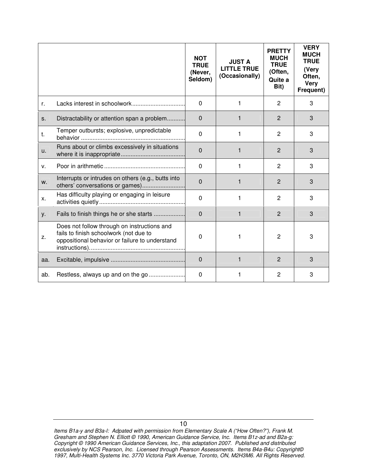|     |                                                                                                                                         | <b>NOT</b><br><b>TRUE</b><br>(Never,<br>Seldom) | <b>JUST A</b><br><b>LITTLE TRUE</b><br>(Occasionally) | <b>PRETTY</b><br><b>MUCH</b><br><b>TRUE</b><br>(Often,<br>Quite a<br>Bit) | <b>VERY</b><br><b>MUCH</b><br><b>TRUE</b><br>(Very<br>Often,<br><b>Very</b><br>Frequent) |
|-----|-----------------------------------------------------------------------------------------------------------------------------------------|-------------------------------------------------|-------------------------------------------------------|---------------------------------------------------------------------------|------------------------------------------------------------------------------------------|
| r.  |                                                                                                                                         | $\Omega$                                        | 1                                                     | 2                                                                         | 3                                                                                        |
| S.  | Distractability or attention span a problem                                                                                             | $\mathbf 0$                                     | 1                                                     | $\overline{2}$                                                            | 3                                                                                        |
| t.  | Temper outbursts; explosive, unpredictable                                                                                              | $\Omega$                                        | 1                                                     | 2                                                                         | 3                                                                                        |
| u.  | Runs about or climbs excessively in situations                                                                                          | $\mathbf 0$                                     | $\mathbf{1}$                                          | $\overline{2}$                                                            | 3                                                                                        |
| v.  |                                                                                                                                         | $\Omega$                                        | 1                                                     | 2                                                                         | 3                                                                                        |
| W.  | Interrupts or intrudes on others (e.g., butts into<br>others' conversations or games)                                                   | $\mathbf 0$                                     | 1                                                     | 2                                                                         | 3                                                                                        |
| Х.  | Has difficulty playing or engaging in leisure                                                                                           | $\Omega$                                        | 1                                                     | 2                                                                         | 3                                                                                        |
| у.  | Fails to finish things he or she starts                                                                                                 | $\mathbf 0$                                     | $\mathbf{1}$                                          | $\overline{2}$                                                            | 3                                                                                        |
| Z.  | Does not follow through on instructions and<br>fails to finish schoolwork (not due to<br>oppositional behavior or failure to understand | 0                                               | 1                                                     | 2                                                                         | 3                                                                                        |
| aa. |                                                                                                                                         | $\Omega$                                        | $\mathbf{1}$                                          | $\overline{2}$                                                            | 3                                                                                        |
| ab. |                                                                                                                                         | 0                                               | 1                                                     | 2                                                                         | 3                                                                                        |

Items B1a-y and B3a-l: Adpated with permission from Elementary Scale A ("How Often?"), Frank M. Gresham and Stephen N. Elliott © 1990, American Guidance Service, Inc. Items B1z-ad and B2a-g: Copyright © 1990 American Guidance Services, Inc., this adaptation 2007. Published and distributed exclusively by NCS Pearson, Inc. Licensed through Pearson Assessments. Items B4a-B4u: Copyright© 1997, Multi-Health Systems Inc. 3770 Victoria Park Avenue, Toronto, ON, M2H3M6. All Rights Reserved.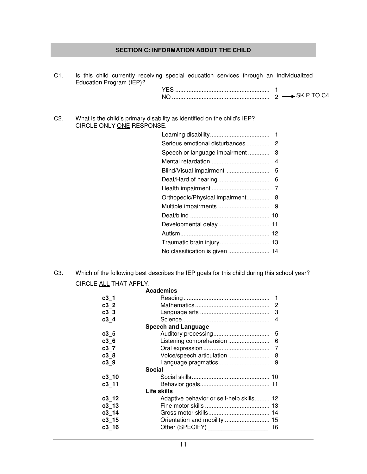### **SECTION C: INFORMATION ABOUT THE CHILD**

| C1. | Education Program (IEP)?  | Is this child currently receiving special education services through an Individualized |  |
|-----|---------------------------|----------------------------------------------------------------------------------------|--|
|     |                           |                                                                                        |  |
| C2. | CIRCLE ONLY ONE RESPONSE. | What is the child's primary disability as identified on the child's IEP?               |  |
|     |                           |                                                                                        |  |
|     |                           |                                                                                        |  |
|     |                           |                                                                                        |  |
|     |                           |                                                                                        |  |
|     |                           |                                                                                        |  |
|     |                           |                                                                                        |  |
|     |                           |                                                                                        |  |
|     |                           | Orthopedic/Physical impairment 8                                                       |  |
|     |                           |                                                                                        |  |
|     |                           |                                                                                        |  |
|     |                           | Developmental delay 11                                                                 |  |
|     |                           |                                                                                        |  |
|     |                           | Traumatic brain injury 13                                                              |  |
|     |                           |                                                                                        |  |

C3. Which of the following best describes the IEP goals for this child during this school year? CIRCLE ALL THAT APPLY.

|                 | <b>Academics</b>                         |    |
|-----------------|------------------------------------------|----|
| $c3_1$          |                                          |    |
| c32             |                                          |    |
| c3 <sub>3</sub> |                                          |    |
| c34             |                                          |    |
|                 | <b>Speech and Language</b>               |    |
| c3 <sub>5</sub> |                                          |    |
| c36             |                                          |    |
| c3 7            |                                          |    |
| c38             |                                          |    |
| c39             |                                          |    |
| <b>Social</b>   |                                          |    |
| $c3$ 10         |                                          |    |
| $c3$ 11         |                                          |    |
|                 | Life skills                              |    |
| c312            | Adaptive behavior or self-help skills 12 |    |
| $c3$ 13         |                                          |    |
| $c3$ 14         |                                          |    |
| $c3$ 15         |                                          |    |
| $c3$ 16         | Other (SPECIFY) ___________________      | 16 |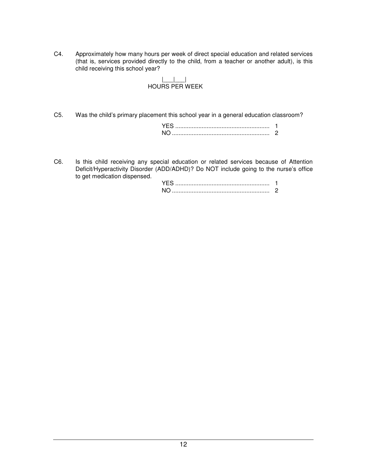C4. Approximately how many hours per week of direct special education and related services (that is, services provided directly to the child, from a teacher or another adult), is this child receiving this school year?

### |\_\_\_|\_\_\_| HOURS PER WEEK

C5. Was the child's primary placement this school year in a general education classroom?

C6. Is this child receiving any special education or related services because of Attention Deficit/Hyperactivity Disorder (ADD/ADHD)? Do NOT include going to the nurse's office to get medication dispensed.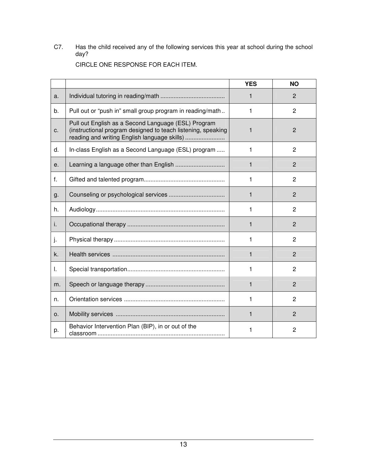C7. Has the child received any of the following services this year at school during the school day?

| CIRCLE ONE RESPONSE FOR EACH ITEM. |  |
|------------------------------------|--|
|------------------------------------|--|

|    |                                                                                                                                                                     | <b>YES</b>   | <b>NO</b>      |
|----|---------------------------------------------------------------------------------------------------------------------------------------------------------------------|--------------|----------------|
| a. |                                                                                                                                                                     | 1            | 2              |
| b. | Pull out or "push in" small group program in reading/math                                                                                                           | 1            | 2              |
| C. | Pull out English as a Second Language (ESL) Program<br>(instructional program designed to teach listening, speaking<br>reading and writing English language skills) | 1            | $\overline{2}$ |
| d. | In-class English as a Second Language (ESL) program                                                                                                                 | 1            | $\overline{2}$ |
| е. |                                                                                                                                                                     | 1            | $\overline{2}$ |
| f. |                                                                                                                                                                     | 1            | $\overline{2}$ |
| g. |                                                                                                                                                                     | 1            | $\overline{2}$ |
| h. |                                                                                                                                                                     | 1            | $\mathbf{2}$   |
| i. |                                                                                                                                                                     | $\mathbf{1}$ | 2              |
| j. |                                                                                                                                                                     | 1            | $\overline{2}$ |
| k. |                                                                                                                                                                     | 1            | 2              |
| I. |                                                                                                                                                                     | 1            | $\overline{2}$ |
| m. |                                                                                                                                                                     | 1            | $\overline{2}$ |
| n. |                                                                                                                                                                     | 1            | 2              |
| 0. |                                                                                                                                                                     | $\mathbf{1}$ | $\overline{2}$ |
| p. | Behavior Intervention Plan (BIP), in or out of the                                                                                                                  | 1            | 2              |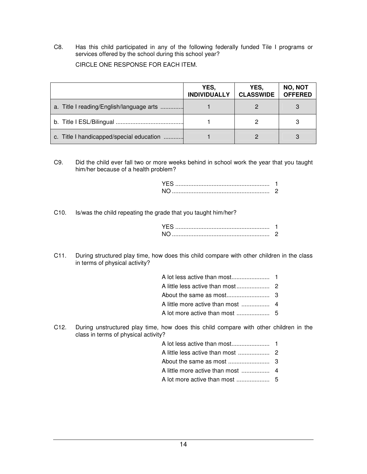C8. Has this child participated in any of the following federally funded Tile I programs or services offered by the school during this school year? CIRCLE ONE RESPONSE FOR EACH ITEM.

|                                          | YES,<br><b>INDIVIDUALLY</b> | YES,<br><b>CLASSWIDE</b> | NO, NOT<br><b>OFFERED</b> |
|------------------------------------------|-----------------------------|--------------------------|---------------------------|
| a. Title I reading/English/language arts |                             |                          |                           |
|                                          |                             |                          |                           |
| c. Title I handicapped/special education |                             |                          |                           |

C9. Did the child ever fall two or more weeks behind in school work the year that you taught him/her because of a health problem?

C10. Is/was the child repeating the grade that you taught him/her?

C11. During structured play time, how does this child compare with other children in the class in terms of physical activity?

C12. During unstructured play time, how does this child compare with other children in the class in terms of physical activity?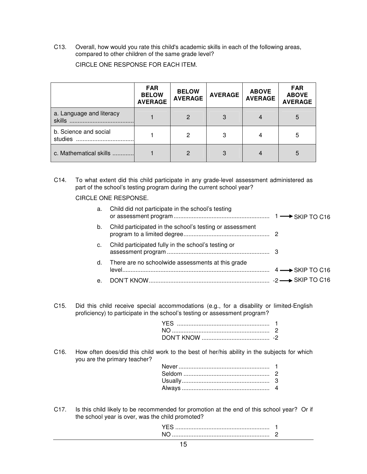C13. Overall, how would you rate this child's academic skills in each of the following areas, compared to other children of the same grade level?

|                                  | <b>FAR</b><br><b>BELOW</b><br><b>AVERAGE</b> | <b>BELOW</b><br><b>AVERAGE</b> | <b>AVERAGE</b> | <b>ABOVE</b><br><b>AVERAGE</b> | <b>FAR</b><br><b>ABOVE</b><br><b>AVERAGE</b> |
|----------------------------------|----------------------------------------------|--------------------------------|----------------|--------------------------------|----------------------------------------------|
| a. Language and literacy         |                                              | 2                              |                |                                | 5                                            |
| b. Science and social<br>studies |                                              | 2                              | 3              |                                | 5                                            |
| c. Mathematical skills           |                                              | 2                              | 3              |                                | 5                                            |

CIRCLE ONE RESPONSE FOR EACH ITEM.

C14. To what extent did this child participate in any grade-level assessment administered as part of the school's testing program during the current school year?

CIRCLE ONE RESPONSE.

| а.             | Child did not participate in the school's testing        |  |
|----------------|----------------------------------------------------------|--|
| b.             | Child participated in the school's testing or assessment |  |
| c.             | Child participated fully in the school's testing or      |  |
|                | d. There are no schoolwide assessments at this grade     |  |
| e <sub>1</sub> |                                                          |  |
|                |                                                          |  |
|                |                                                          |  |

C15. Did this child receive special accommodations (e.g., for a disability or limited-English proficiency) to participate in the school's testing or assessment program?

C16. How often does/did this child work to the best of her/his ability in the subjects for which you are the primary teacher?

C17. Is this child likely to be recommended for promotion at the end of this school year? Or if the school year is over, was the child promoted?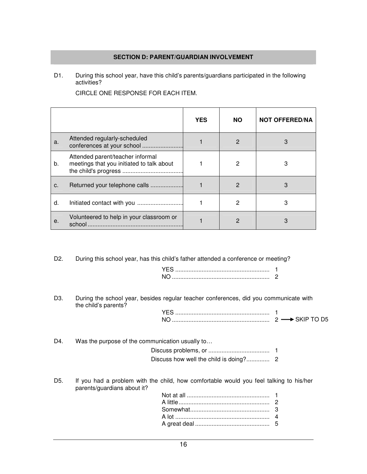### **SECTION D: PARENT/GUARDIAN INVOLVEMENT**

D1. During this school year, have this child's parents/guardians participated in the following activities?

|       |                                                                               | <b>YES</b> | <b>NO</b> | <b>NOT OFFERED/NA</b> |
|-------|-------------------------------------------------------------------------------|------------|-----------|-----------------------|
| a.    | Attended regularly-scheduled<br>conferences at your school                    |            | 2         | 3                     |
| b.    | Attended parent/teacher informal<br>meetings that you initiated to talk about |            | 2         |                       |
| $C$ . | Returned your telephone calls                                                 |            | 2         | 3                     |
| d.    |                                                                               |            | 2         | З                     |
| е.    | Volunteered to help in your classroom or                                      |            | 2         |                       |

CIRCLE ONE RESPONSE FOR EACH ITEM.

D2. During this school year, has this child's father attended a conference or meeting?

D3. During the school year, besides regular teacher conferences, did you communicate with the child's parents?

### D4. Was the purpose of the communication usually to...

D5. If you had a problem with the child, how comfortable would you feel talking to his/her parents/guardians about it?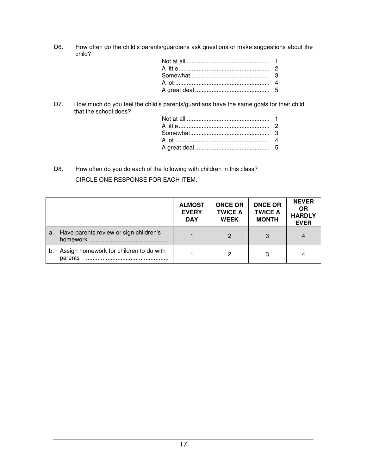D6. How often do the child's parents/guardians ask questions or make suggestions about the child?

D7. How much do you feel the child's parents/guardians have the same goals for their child that the school does?

D8. How often do you do each of the following with children in this class? CIRCLE ONE RESPONSE FOR EACH ITEM.

|    |                                                    | <b>ALMOST</b><br><b>EVERY</b><br><b>DAY</b> | <b>ONCE OR</b><br><b>TWICE A</b><br><b>WEEK</b> | <b>ONCE OR</b><br><b>TWICE A</b><br><b>MONTH</b> | <b>NEVER</b><br><b>OR</b><br><b>HARDLY</b><br><b>EVER</b> |
|----|----------------------------------------------------|---------------------------------------------|-------------------------------------------------|--------------------------------------------------|-----------------------------------------------------------|
| a. | Have parents review or sign children's             |                                             |                                                 | 3                                                | 4                                                         |
| b. | Assign homework for children to do with<br>parents |                                             | 2                                               | 3                                                | 4                                                         |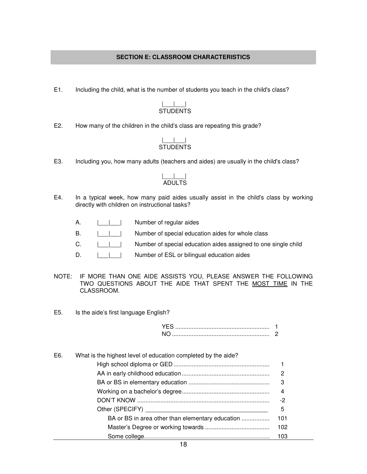### **SECTION E: CLASSROOM CHARACTERISTICS**

E1. Including the child, what is the number of students you teach in the child's class?

### |\_\_\_|\_\_\_| STUDENTS

E2. How many of the children in the child's class are repeating this grade?

#### |\_\_\_|\_\_\_| STUDENTS

E3. Including you, how many adults (teachers and aides) are usually in the child's class?

#### |\_\_\_|\_\_\_| ADULTS

- E4. In a typical week, how many paid aides usually assist in the child's class by working directly with children on instructional tasks?
	- A. | | | Number of regular aides
	- B.  $|$  | | Number of special education aides for whole class
	- C.  $||||$  Number of special education aides assigned to one single child
	- D.  $||\cdot||$  Number of ESL or bilingual education aides
- NOTE: IF MORE THAN ONE AIDE ASSISTS YOU, PLEASE ANSWER THE FOLLOWING TWO QUESTIONS ABOUT THE AIDE THAT SPENT THE MOST TIME IN THE CLASSROOM.
- E5. Is the aide's first language English?

| E6. | What is the highest level of education completed by the aide? |     |
|-----|---------------------------------------------------------------|-----|
|     |                                                               |     |
|     |                                                               | 2   |
|     |                                                               | 3   |
|     |                                                               | 4   |
|     |                                                               | -2  |
|     |                                                               | 5   |
|     | BA or BS in area other than elementary education              | 101 |
|     |                                                               | 102 |
|     |                                                               | 103 |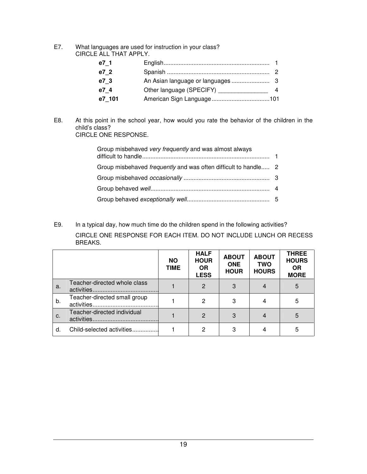E7. What languages are used for instruction in your class? CIRCLE ALL THAT APPLY.

| e7 1   |                                           |  |
|--------|-------------------------------------------|--|
| e7 2   |                                           |  |
| e7 3   |                                           |  |
| e7 4   | Other language (SPECIFY) ________________ |  |
| e7 101 |                                           |  |

E8. At this point in the school year, how would you rate the behavior of the children in the child's class? CIRCLE ONE RESPONSE.

| Group misbehaved very frequently and was almost always                 |  |
|------------------------------------------------------------------------|--|
| Group misbehaved <i>frequently</i> and was often difficult to handle 2 |  |
|                                                                        |  |
|                                                                        |  |
|                                                                        |  |

E9. In a typical day, how much time do the children spend in the following activities? CIRCLE ONE RESPONSE FOR EACH ITEM. DO NOT INCLUDE LUNCH OR RECESS BREAKS.

|    |                                           | <b>NO</b><br>TIME | <b>HALF</b><br><b>HOUR</b><br><b>OR</b><br><b>LESS</b> | <b>ABOUT</b><br><b>ONE</b><br><b>HOUR</b> | <b>ABOUT</b><br>TWO<br><b>HOURS</b> | <b>THREE</b><br><b>HOURS</b><br><b>OR</b><br><b>MORE</b> |
|----|-------------------------------------------|-------------------|--------------------------------------------------------|-------------------------------------------|-------------------------------------|----------------------------------------------------------|
| а. | Teacher-directed whole class              |                   | $\mathcal{P}$                                          | 3                                         |                                     | 5                                                        |
| b. | Teacher-directed small group              |                   | $\mathcal{P}$                                          | 3                                         |                                     | 5                                                        |
| C. | Teacher-directed individual<br>activities |                   | $\mathcal{P}$                                          | 3                                         |                                     | 5                                                        |
| d. | Child-selected activities                 |                   | 2                                                      | 3                                         |                                     | 5                                                        |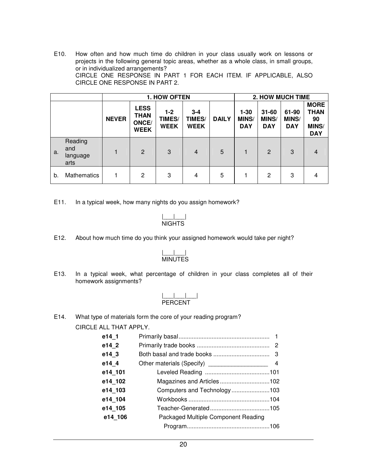E10. How often and how much time do children in your class usually work on lessons or projects in the following general topic areas, whether as a whole class, in small groups, or in individualized arrangements? CIRCLE ONE RESPONSE IN PART 1 FOR EACH ITEM. IF APPLICABLE, ALSO CIRCLE ONE RESPONSE IN PART 2.

|    |                                    | 1. HOW OFTEN |                                                    |                                |                                  |              | <b>2. HOW MUCH TIME</b>                |                                         |                                     |                                                                |
|----|------------------------------------|--------------|----------------------------------------------------|--------------------------------|----------------------------------|--------------|----------------------------------------|-----------------------------------------|-------------------------------------|----------------------------------------------------------------|
|    |                                    | <b>NEVER</b> | <b>LESS</b><br><b>THAN</b><br>ONCE/<br><b>WEEK</b> | $1-2$<br>TIMES/<br><b>WEEK</b> | $3 - 4$<br>TIMES/<br><b>WEEK</b> | <b>DAILY</b> | $1 - 30$<br><b>MINS/</b><br><b>DAY</b> | $31 - 60$<br><b>MINS/</b><br><b>DAY</b> | 61-90<br><b>MINS/</b><br><b>DAY</b> | <b>MORE</b><br><b>THAN</b><br>90<br><b>MINS/</b><br><b>DAY</b> |
| a. | Reading<br>and<br>language<br>arts |              | 2                                                  | 3                              | $\overline{4}$                   | 5            |                                        | $\overline{2}$                          | 3                                   | 4                                                              |
| b. | <b>Mathematics</b>                 |              | 2                                                  | 3                              | 4                                | 5            |                                        | 2                                       | 3                                   | 4                                                              |

E11. In a typical week, how many nights do you assign homework?

$$
\frac{| \_ \_ |}{\text{NIGHTS}}
$$

E12. About how much time do you think your assigned homework would take per night?

### |\_\_\_|\_\_\_| MINUTES

E13. In a typical week, what percentage of children in your class completes all of their homework assignments?

$$
\frac{| \_\_ | \_\_ | \_\_ |}{ \text{PERCENT}}
$$

E14. What type of materials form the core of your reading program?

CIRCLE ALL THAT APPLY.

| e14 1   |                                     |
|---------|-------------------------------------|
| e14 2   |                                     |
| e14 3   |                                     |
| e14 4   |                                     |
| e14 101 |                                     |
| e14 102 |                                     |
| e14 103 |                                     |
| e14 104 |                                     |
| e14 105 |                                     |
| e14 106 | Packaged Multiple Component Reading |
|         |                                     |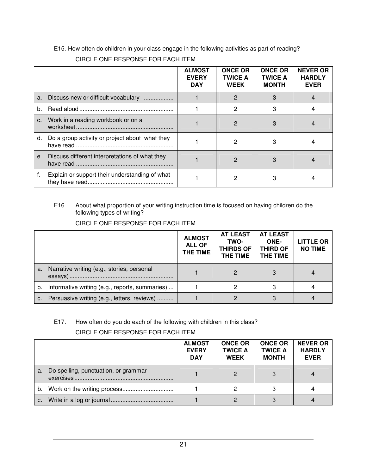|    |                                                | <b>ALMOST</b><br><b>EVERY</b><br><b>DAY</b> | <b>ONCE OR</b><br><b>TWICE A</b><br><b>WEEK</b> | <b>ONCE OR</b><br><b>TWICE A</b><br><b>MONTH</b> | <b>NEVER OR</b><br><b>HARDLY</b><br><b>EVER</b> |
|----|------------------------------------------------|---------------------------------------------|-------------------------------------------------|--------------------------------------------------|-------------------------------------------------|
| a. | Discuss new or difficult vocabulary            |                                             | 2                                               | 3                                                |                                                 |
| b. |                                                |                                             | 2                                               |                                                  |                                                 |
| C. | Work in a reading workbook or on a             |                                             | 2                                               |                                                  |                                                 |
| d. | Do a group activity or project about what they |                                             | 2                                               |                                                  |                                                 |
| e. | Discuss different interpretations of what they |                                             | 2                                               |                                                  |                                                 |
| f. | Explain or support their understanding of what |                                             |                                                 |                                                  |                                                 |

E15. How often do children in your class engage in the following activities as part of reading? CIRCLE ONE RESPONSE FOR EACH ITEM.

E16. About what proportion of your writing instruction time is focused on having children do the following types of writing?

CIRCLE ONE RESPONSE FOR EACH ITEM.

|    |                                                | <b>ALMOST</b><br><b>ALL OF</b><br>THE TIME | <b>AT LEAST</b><br>TWO-<br><b>THIRDS OF</b><br><b>THE TIME</b> | <b>AT LEAST</b><br>ONE-<br><b>THIRD OF</b><br>THE TIME | <b>LITTLE OR</b><br><b>NO TIME</b> |
|----|------------------------------------------------|--------------------------------------------|----------------------------------------------------------------|--------------------------------------------------------|------------------------------------|
| a. | Narrative writing (e.g., stories, personal     |                                            |                                                                |                                                        |                                    |
| b. | Informative writing (e.g., reports, summaries) |                                            |                                                                |                                                        |                                    |
|    | c. Persuasive writing (e.g., letters, reviews) |                                            |                                                                |                                                        |                                    |

### E17. How often do you do each of the following with children in this class? CIRCLE ONE RESPONSE FOR EACH ITEM.

|    |                                      | <b>ALMOST</b><br><b>EVERY</b><br><b>DAY</b> | <b>ONCE OR</b><br><b>TWICE A</b><br><b>WEEK</b> | <b>ONCE OR</b><br><b>TWICE A</b><br><b>MONTH</b> | <b>NEVER OR</b><br><b>HARDLY</b><br><b>EVER</b> |
|----|--------------------------------------|---------------------------------------------|-------------------------------------------------|--------------------------------------------------|-------------------------------------------------|
| a. | Do spelling, punctuation, or grammar |                                             |                                                 |                                                  |                                                 |
|    |                                      |                                             | 2                                               |                                                  |                                                 |
| C. |                                      |                                             |                                                 |                                                  |                                                 |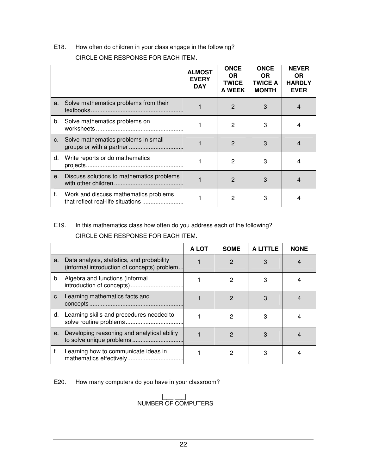E18. How often do children in your class engage in the following?

CIRCLE ONE RESPONSE FOR EACH ITEM.

|    |                                                                            | <b>ALMOST</b><br><b>EVERY</b><br><b>DAY</b> | <b>ONCE</b><br>OR.<br><b>TWICE</b><br><b>A WEEK</b> | <b>ONCE</b><br>OR.<br><b>TWICE A</b><br><b>MONTH</b> | <b>NEVER</b><br>OR.<br><b>HARDLY</b><br><b>EVER</b> |
|----|----------------------------------------------------------------------------|---------------------------------------------|-----------------------------------------------------|------------------------------------------------------|-----------------------------------------------------|
|    | a. Solve mathematics problems from their                                   |                                             | $\overline{2}$                                      | 3                                                    | 4                                                   |
|    | b. Solve mathematics problems on                                           |                                             | 2                                                   | 3                                                    | 4                                                   |
|    | c. Solve mathematics problems in small                                     |                                             | $\mathcal{P}$                                       | 3                                                    |                                                     |
| d. | Write reports or do mathematics                                            |                                             | 2                                                   | 3                                                    |                                                     |
| е. | Discuss solutions to mathematics problems                                  |                                             | $\mathcal{P}$                                       | 3                                                    |                                                     |
| f. | Work and discuss mathematics problems<br>that reflect real-life situations |                                             | 2                                                   | 3                                                    |                                                     |

## E19. In this mathematics class how often do you address each of the following?

CIRCLE ONE RESPONSE FOR EACH ITEM.

|    |                                                                                           | A LOT | <b>SOME</b>   | A LITTLE | <b>NONE</b> |
|----|-------------------------------------------------------------------------------------------|-------|---------------|----------|-------------|
| a. | Data analysis, statistics, and probability<br>(informal introduction of concepts) problem |       | 2             |          |             |
| b. | Algebra and functions (informal<br>introduction of concepts)                              |       | 2             |          |             |
| C. | Learning mathematics facts and                                                            |       | $\mathcal{P}$ | 3        |             |
| d. | Learning skills and procedures needed to                                                  |       | 2             | 3        |             |
| е. | Developing reasoning and analytical ability                                               |       | 2             |          |             |
| f. | Learning how to communicate ideas in                                                      |       | 2             | 3        |             |

E20. How many computers do you have in your classroom?

|\_\_\_|\_\_\_| NUMBER OF COMPUTERS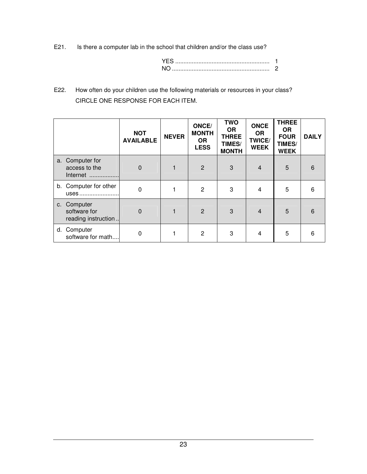E21. Is there a computer lab in the school that children and/or the class use?

| N٥ |  |
|----|--|

E22. How often do your children use the following materials or resources in your class? CIRCLE ONE RESPONSE FOR EACH ITEM.

|    |                                                    | <b>NOT</b><br><b>AVAILABLE</b> | <b>NEVER</b> | ONCE/<br><b>MONTH</b><br><b>OR</b><br><b>LESS</b> | <b>TWO</b><br><b>OR</b><br><b>THREE</b><br>TIMES/<br><b>MONTH</b> | <b>ONCE</b><br><b>OR</b><br><b>TWICE/</b><br><b>WEEK</b> | <b>THREE</b><br><b>OR</b><br><b>FOUR</b><br>TIMES/<br><b>WEEK</b> | <b>DAILY</b> |
|----|----------------------------------------------------|--------------------------------|--------------|---------------------------------------------------|-------------------------------------------------------------------|----------------------------------------------------------|-------------------------------------------------------------------|--------------|
|    | a. Computer for<br>access to the<br>Internet       | $\Omega$                       |              | 2                                                 | 3                                                                 | $\overline{4}$                                           | 5                                                                 | 6            |
|    | b. Computer for other<br>uses                      | 0                              |              | $\overline{2}$                                    | 3                                                                 | $\overline{4}$                                           | 5                                                                 | 6            |
|    | c. Computer<br>software for<br>reading instruction | $\Omega$                       |              | $\overline{2}$                                    | 3                                                                 | $\overline{4}$                                           | 5                                                                 | 6            |
| d. | Computer<br>software for math                      | 0                              |              | $\overline{2}$                                    | 3                                                                 | 4                                                        | 5                                                                 | 6            |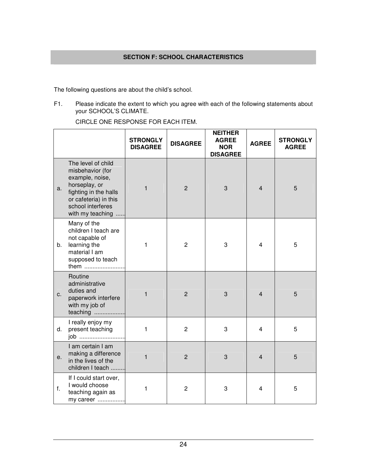The following questions are about the child's school.

F1. Please indicate the extent to which you agree with each of the following statements about your SCHOOL'S CLIMATE.

CIRCLE ONE RESPONSE FOR EACH ITEM.

|    |                                                                                                                                                                       | <b>STRONGLY</b><br><b>DISAGREE</b> | <b>DISAGREE</b> | <b>NEITHER</b><br><b>AGREE</b><br><b>NOR</b><br><b>DISAGREE</b> | <b>AGREE</b>   | <b>STRONGLY</b><br><b>AGREE</b> |
|----|-----------------------------------------------------------------------------------------------------------------------------------------------------------------------|------------------------------------|-----------------|-----------------------------------------------------------------|----------------|---------------------------------|
| a. | The level of child<br>misbehavior (for<br>example, noise,<br>horseplay, or<br>fighting in the halls<br>or cafeteria) in this<br>school interferes<br>with my teaching | 1                                  | $\overline{2}$  | 3                                                               | $\overline{4}$ | 5                               |
| b. | Many of the<br>children I teach are<br>not capable of<br>learning the<br>material I am<br>supposed to teach<br>them                                                   | 1                                  | $\overline{c}$  | 3                                                               | 4              | 5                               |
| c. | Routine<br>administrative<br>duties and<br>paperwork interfere<br>with my job of<br>teaching                                                                          | 1                                  | $\overline{2}$  | 3                                                               | $\overline{4}$ | 5                               |
| d. | I really enjoy my<br>present teaching<br>job                                                                                                                          | 1                                  | $\overline{c}$  | 3                                                               | 4              | 5                               |
| е. | I am certain I am<br>making a difference<br>in the lives of the<br>children I teach                                                                                   | 1                                  | $\overline{2}$  | 3                                                               | $\overline{4}$ | 5                               |
| f. | If I could start over,<br>I would choose<br>teaching again as<br>my career                                                                                            | 1                                  | $\overline{2}$  | 3                                                               | 4              | 5                               |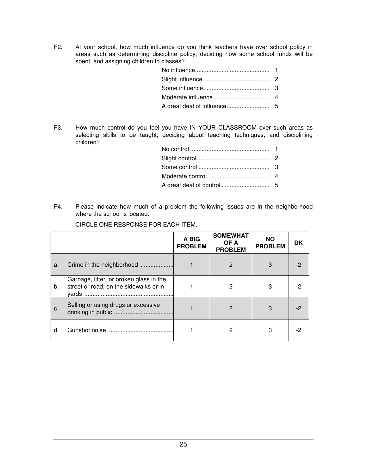F2. At your school, how much influence do you think teachers have over school policy in areas such as determining discipline policy, deciding how some school funds will be spent, and assigning children to classes?

F3. How much control do you feel you have IN YOUR CLASSROOM over such areas as selecting skills to be taught, deciding about teaching techniques, and disciplining children?

F4. Please indicate how much of a problem the following issues are in the neighborhood where the school is located.

|    |                                                                                   | A BIG<br><b>PROBLEM</b> | <b>SOMEWHAT</b><br>OF A<br><b>PROBLEM</b> | <b>NO</b><br><b>PROBLEM</b> | <b>DK</b> |
|----|-----------------------------------------------------------------------------------|-------------------------|-------------------------------------------|-----------------------------|-----------|
| a. | Crime in the neighborhood                                                         |                         | 2                                         |                             | -2        |
| b. | Garbage, litter, or broken glass in the<br>street or road, on the sidewalks or in |                         | 2                                         | 3                           | -2        |
| C. | Selling or using drugs or excessive                                               |                         | 2                                         | 3                           | -2        |
| d  |                                                                                   |                         | 2                                         | 3                           | -2        |

CIRCLE ONE RESPONSE FOR EACH ITEM.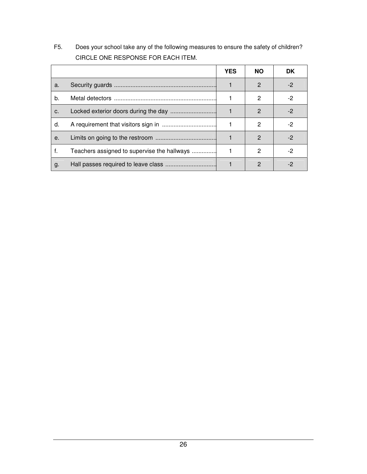F5. Does your school take any of the following measures to ensure the safety of children? CIRCLE ONE RESPONSE FOR EACH ITEM.

|    |                                             | <b>YES</b> | <b>NO</b>     | DK   |
|----|---------------------------------------------|------------|---------------|------|
| a. |                                             |            | $\mathcal{P}$ | -2   |
| b. |                                             |            | 2             | $-2$ |
| C. |                                             |            | $\mathcal{P}$ | -2   |
| d. |                                             |            | 2             | -2   |
| е. |                                             |            | $\mathcal{P}$ | -2   |
| f. | Teachers assigned to supervise the hallways |            | 2             | -2   |
| g. |                                             |            | 2             |      |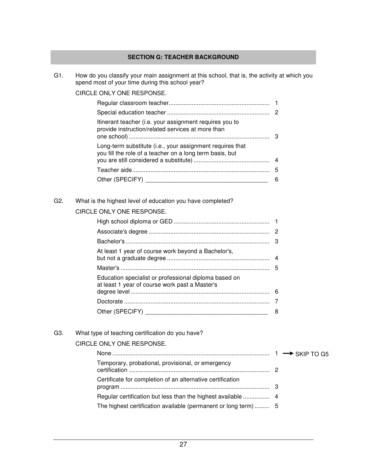### **SECTION G: TEACHER BACKGROUND**

G1. How do you classify your main assignment at this school, that is, the activity at which you spend most of your time during this school year?

### CIRCLE ONLY ONE RESPONSE.

| Itinerant teacher (i.e. your assignment requires you to<br>provide instruction/related services at more than          |   |
|-----------------------------------------------------------------------------------------------------------------------|---|
| Long-term substitute (i.e., your assignment requires that<br>you fill the role of a teacher on a long term basis, but |   |
|                                                                                                                       |   |
|                                                                                                                       | 5 |
|                                                                                                                       |   |

### G2. What is the highest level of education you have completed?

### CIRCLE ONLY ONE RESPONSE.

| At least 1 year of course work beyond a Bachelor's,                                                     |   |
|---------------------------------------------------------------------------------------------------------|---|
|                                                                                                         |   |
| Education specialist or professional diploma based on<br>at least 1 year of course work past a Master's |   |
|                                                                                                         |   |
|                                                                                                         |   |
|                                                                                                         | 8 |

### G3. What type of teaching certification do you have?

### CIRCLE ONLY ONE RESPONSE.

| Temporary, probational, provisional, or emergency          |  |
|------------------------------------------------------------|--|
| Certificate for completion of an alternative certification |  |
|                                                            |  |
|                                                            |  |
|                                                            |  |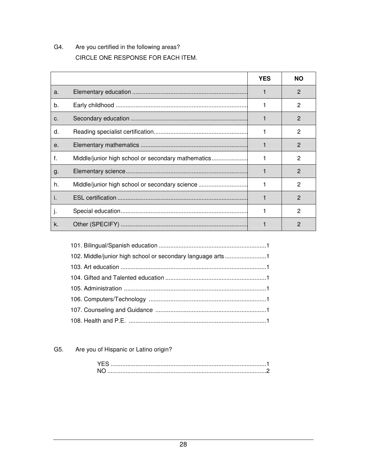#### G4. Are you certified in the following areas? CIRCLE ONE RESPONSE FOR EACH ITEM.

|       |                                                    | <b>YES</b> | <b>NO</b>     |
|-------|----------------------------------------------------|------------|---------------|
| a.    |                                                    |            | 2             |
| b.    |                                                    |            | 2             |
| $C$ . |                                                    |            | 2             |
| d.    |                                                    |            | 2             |
| $e$ . |                                                    |            | $\mathcal{P}$ |
| f.    | Middle/junior high school or secondary mathematics |            | 2             |
| g.    |                                                    |            | 2             |
| h.    | Middle/junior high school or secondary science     |            | 2             |
| L     |                                                    |            | 2             |
| ъ.    |                                                    |            | 2             |
| k.    |                                                    |            | 2             |

| 102. Middle/junior high school or secondary language arts1 |  |
|------------------------------------------------------------|--|
|                                                            |  |
|                                                            |  |
|                                                            |  |
|                                                            |  |
|                                                            |  |
|                                                            |  |

#### G5. Are you of Hispanic or Latino origin?